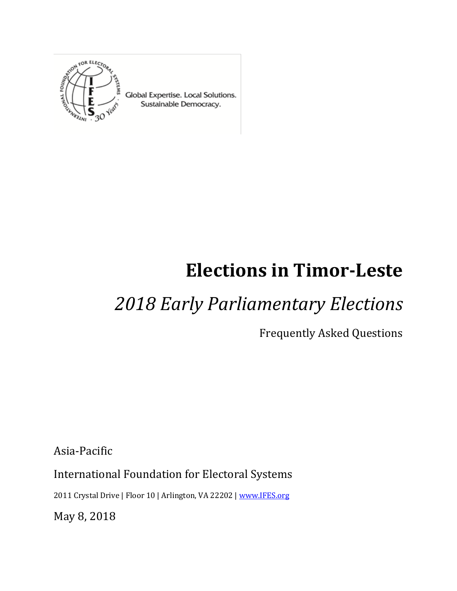

Global Expertise. Local Solutions. Sustainable Democracy.

# **Elections in Timor-Leste**

## *2018 Early Parliamentary Elections*

Frequently Asked Questions

Asia-Pacific

International Foundation for Electoral Systems

2011 Crystal Drive | Floor 10 | Arlington, VA 22202 [| www.IFES.org](file:///C:/Users/max/AppData/Local/Microsoft/Windows/INetCache/Content.Outlook/T1YQVVPB/www.IFES.org)

May 8, 2018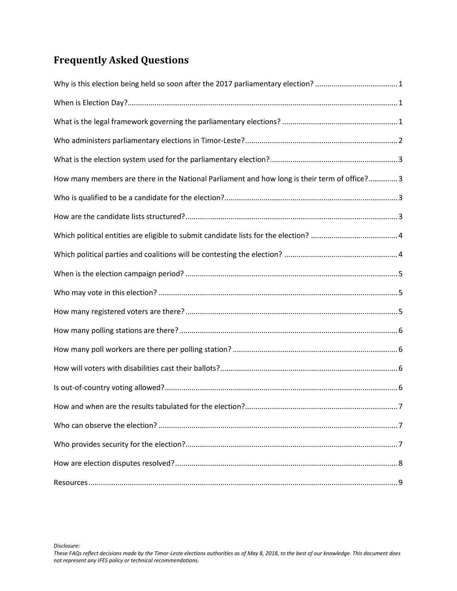## **Frequently Asked Questions**

| How many members are there in the National Parliament and how long is their term of office?3 |
|----------------------------------------------------------------------------------------------|
|                                                                                              |
|                                                                                              |
|                                                                                              |
|                                                                                              |
|                                                                                              |
|                                                                                              |
|                                                                                              |
|                                                                                              |
|                                                                                              |
|                                                                                              |
|                                                                                              |
|                                                                                              |
|                                                                                              |
|                                                                                              |
|                                                                                              |
|                                                                                              |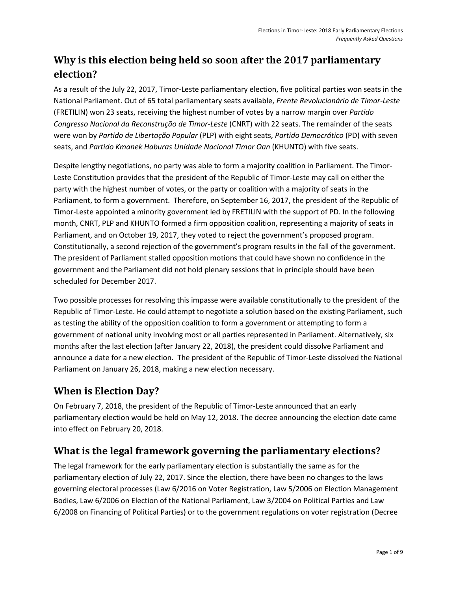## <span id="page-2-0"></span>**Why is this election being held so soon after the 2017 parliamentary election?**

As a result of the July 22, 2017, Timor-Leste parliamentary election, five political parties won seats in the National Parliament. Out of 65 total parliamentary seats available, *Frente Revolucionário de Timor-Leste* (FRETILIN) won 23 seats, receiving the highest number of votes by a narrow margin over *Partido Congresso Nacional da Reconstrução de Timor-Leste* (CNRT) with 22 seats. The remainder of the seats were won by *Partido de Libertação Popular* (PLP) with eight seats, *Partido Democrático* (PD) with seven seats, and *Partido Kmanek Haburas Unidade Nacional Timor Oan* (KHUNTO) with five seats.

Despite lengthy negotiations, no party was able to form a majority coalition in Parliament. The Timor-Leste Constitution provides that the president of the Republic of Timor-Leste may call on either the party with the highest number of votes, or the party or coalition with a majority of seats in the Parliament, to form a government. Therefore, on September 16, 2017, the president of the Republic of Timor-Leste appointed a minority government led by FRETILIN with the support of PD. In the following month, CNRT, PLP and KHUNTO formed a firm opposition coalition, representing a majority of seats in Parliament, and on October 19, 2017, they voted to reject the government's proposed program. Constitutionally, a second rejection of the government's program results in the fall of the government. The president of Parliament stalled opposition motions that could have shown no confidence in the government and the Parliament did not hold plenary sessions that in principle should have been scheduled for December 2017.

Two possible processes for resolving this impasse were available constitutionally to the president of the Republic of Timor-Leste. He could attempt to negotiate a solution based on the existing Parliament, such as testing the ability of the opposition coalition to form a government or attempting to form a government of national unity involving most or all parties represented in Parliament. Alternatively, six months after the last election (after January 22, 2018), the president could dissolve Parliament and announce a date for a new election. The president of the Republic of Timor-Leste dissolved the National Parliament on January 26, 2018, making a new election necessary.

## <span id="page-2-1"></span>**When is Election Day?**

On February 7, 2018, the president of the Republic of Timor-Leste announced that an early parliamentary election would be held on May 12, 2018. The decree announcing the election date came into effect on February 20, 2018.

## <span id="page-2-2"></span>**What is the legal framework governing the parliamentary elections?**

The legal framework for the early parliamentary election is substantially the same as for the parliamentary election of July 22, 2017. Since the election, there have been no changes to the laws governing electoral processes (Law 6/2016 on Voter Registration, Law 5/2006 on Election Management Bodies, Law 6/2006 on Election of the National Parliament, Law 3/2004 on Political Parties and Law 6/2008 on Financing of Political Parties) or to the government regulations on voter registration (Decree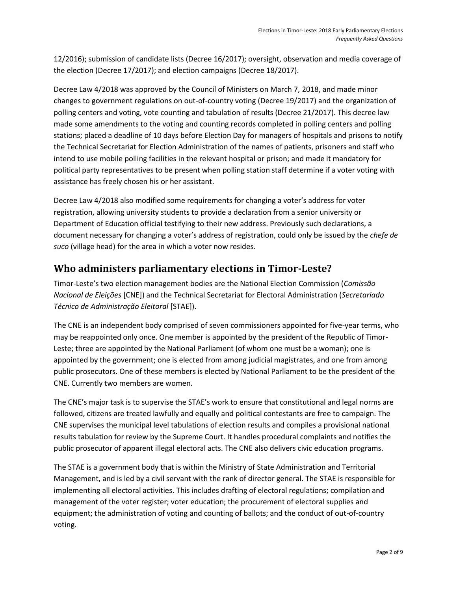12/2016); submission of candidate lists (Decree 16/2017); oversight, observation and media coverage of the election (Decree 17/2017); and election campaigns (Decree 18/2017).

Decree Law 4/2018 was approved by the Council of Ministers on March 7, 2018, and made minor changes to government regulations on out-of-country voting (Decree 19/2017) and the organization of polling centers and voting, vote counting and tabulation of results (Decree 21/2017). This decree law made some amendments to the voting and counting records completed in polling centers and polling stations; placed a deadline of 10 days before Election Day for managers of hospitals and prisons to notify the Technical Secretariat for Election Administration of the names of patients, prisoners and staff who intend to use mobile polling facilities in the relevant hospital or prison; and made it mandatory for political party representatives to be present when polling station staff determine if a voter voting with assistance has freely chosen his or her assistant.

Decree Law 4/2018 also modified some requirements for changing a voter's address for voter registration, allowing university students to provide a declaration from a senior university or Department of Education official testifying to their new address. Previously such declarations, a document necessary for changing a voter's address of registration, could only be issued by the *chefe de suco* (village head) for the area in which a voter now resides.

#### <span id="page-3-0"></span>**Who administers parliamentary elections in Timor-Leste?**

Timor-Leste's two election management bodies are the National Election Commission (*Comissão Nacional de Eleições* [CNE]) and the Technical Secretariat for Electoral Administration (*Secretariado Técnico de Administração Eleitoral* [STAE]).

The CNE is an independent body comprised of seven commissioners appointed for five-year terms, who may be reappointed only once. One member is appointed by the president of the Republic of Timor-Leste; three are appointed by the National Parliament (of whom one must be a woman); one is appointed by the government; one is elected from among judicial magistrates, and one from among public prosecutors. One of these members is elected by National Parliament to be the president of the CNE. Currently two members are women.

The CNE's major task is to supervise the STAE's work to ensure that constitutional and legal norms are followed, citizens are treated lawfully and equally and political contestants are free to campaign. The CNE supervises the municipal level tabulations of election results and compiles a provisional national results tabulation for review by the Supreme Court. It handles procedural complaints and notifies the public prosecutor of apparent illegal electoral acts. The CNE also delivers civic education programs.

The STAE is a government body that is within the Ministry of State Administration and Territorial Management, and is led by a civil servant with the rank of director general. The STAE is responsible for implementing all electoral activities. This includes drafting of electoral regulations; compilation and management of the voter register; voter education; the procurement of electoral supplies and equipment; the administration of voting and counting of ballots; and the conduct of out-of-country voting.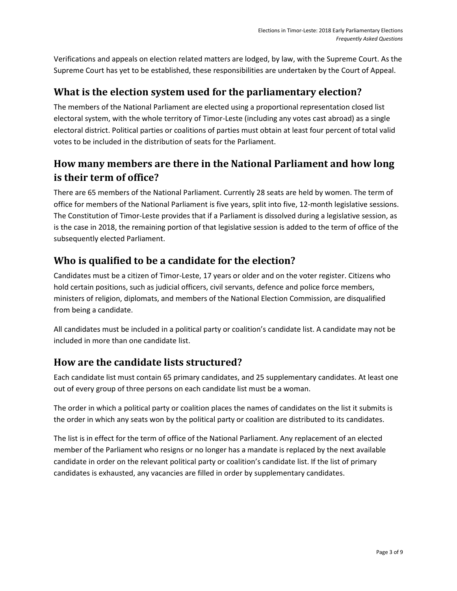Verifications and appeals on election related matters are lodged, by law, with the Supreme Court. As the Supreme Court has yet to be established, these responsibilities are undertaken by the Court of Appeal.

## <span id="page-4-0"></span>**What is the election system used for the parliamentary election?**

The members of the National Parliament are elected using a proportional representation closed list electoral system, with the whole territory of Timor-Leste (including any votes cast abroad) as a single electoral district. Political parties or coalitions of parties must obtain at least four percent of total valid votes to be included in the distribution of seats for the Parliament.

## <span id="page-4-1"></span>**How many members are there in the National Parliament and how long is their term of office?**

There are 65 members of the National Parliament. Currently 28 seats are held by women. The term of office for members of the National Parliament is five years, split into five, 12-month legislative sessions. The Constitution of Timor-Leste provides that if a Parliament is dissolved during a legislative session, as is the case in 2018, the remaining portion of that legislative session is added to the term of office of the subsequently elected Parliament.

## <span id="page-4-2"></span>**Who is qualified to be a candidate for the election?**

Candidates must be a citizen of Timor-Leste, 17 years or older and on the voter register. Citizens who hold certain positions, such as judicial officers, civil servants, defence and police force members, ministers of religion, diplomats, and members of the National Election Commission, are disqualified from being a candidate.

All candidates must be included in a political party or coalition's candidate list. A candidate may not be included in more than one candidate list.

## <span id="page-4-3"></span>**How are the candidate lists structured?**

Each candidate list must contain 65 primary candidates, and 25 supplementary candidates. At least one out of every group of three persons on each candidate list must be a woman.

The order in which a political party or coalition places the names of candidates on the list it submits is the order in which any seats won by the political party or coalition are distributed to its candidates.

The list is in effect for the term of office of the National Parliament. Any replacement of an elected member of the Parliament who resigns or no longer has a mandate is replaced by the next available candidate in order on the relevant political party or coalition's candidate list. If the list of primary candidates is exhausted, any vacancies are filled in order by supplementary candidates.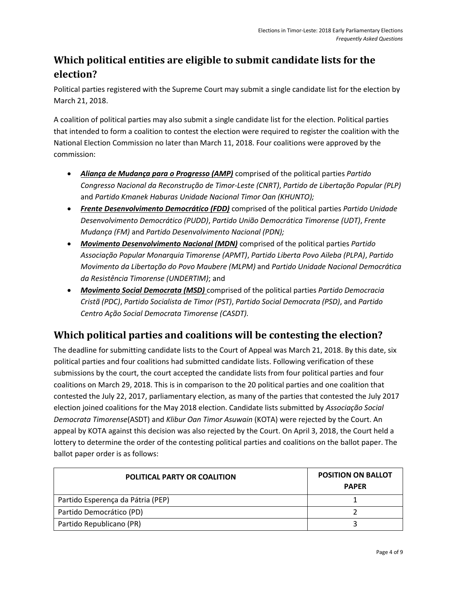## <span id="page-5-0"></span>**Which political entities are eligible to submit candidate lists for the election?**

Political parties registered with the Supreme Court may submit a single candidate list for the election by March 21, 2018.

A coalition of political parties may also submit a single candidate list for the election. Political parties that intended to form a coalition to contest the election were required to register the coalition with the National Election Commission no later than March 11, 2018. Four coalitions were approved by the commission:

- *Aliança de Mudança para o Progresso (AMP)* comprised of the political parties *Partido Congresso Nacional da Reconstrução de Timor-Leste (CNRT)*, *Partido de Libertação Popular (PLP)* and *Partido Kmanek Haburas Unidade Nacional Timor Oan (KHUNTO);*
- *Frente Desenvolvimento Democrático (FDD)* comprised of the political parties *Partido Unidade Desenvolvimento Democrático (PUDD)*, *Partido União Democrática Timorense (UDT)*, *Frente Mudança (FM)* and *Partido Desenvolvimento Nacional (PDN);*
- *Movimento Desenvolvimento Nacional (MDN)* comprised of the political parties *Partido Associação Popular Monarquia Timorense (APMT)*, *Partido Liberta Povo Aileba (PLPA)*, *Partido Movimento da Libertação do Povo Maubere (MLPM)* and *Partido Unidade Nacional Democrática da Resistência Timorense (UNDERTIM)*; and
- *Movimento Social Democrata (MSD)* comprised of the political parties *Partido Democracia Cristã (PDC)*, *Partido Socialista de Timor (PST)*, *Partido Social Democrata (PSD)*, and *Partido Centro Ação Social Democrata Timorense (CASDT).*

## <span id="page-5-1"></span>**Which political parties and coalitions will be contesting the election?**

The deadline for submitting candidate lists to the Court of Appeal was March 21, 2018. By this date, six political parties and four coalitions had submitted candidate lists. Following verification of these submissions by the court, the court accepted the candidate lists from four political parties and four coalitions on March 29, 2018. This is in comparison to the 20 political parties and one coalition that contested the July 22, 2017, parliamentary election, as many of the parties that contested the July 2017 election joined coalitions for the May 2018 election. Candidate lists submitted by *Associação Social Democrata Timorense*(ASDT) and *Klibur Oan Timor Asuwain* (KOTA) were rejected by the Court. An appeal by KOTA against this decision was also rejected by the Court. On April 3, 2018, the Court held a lottery to determine the order of the contesting political parties and coalitions on the ballot paper. The ballot paper order is as follows:

| <b>POLITICAL PARTY OR COALITION</b> | <b>POSITION ON BALLOT</b><br><b>PAPER</b> |
|-------------------------------------|-------------------------------------------|
| Partido Esperença da Pátria (PEP)   |                                           |
| Partido Democrático (PD)            |                                           |
| Partido Republicano (PR)            |                                           |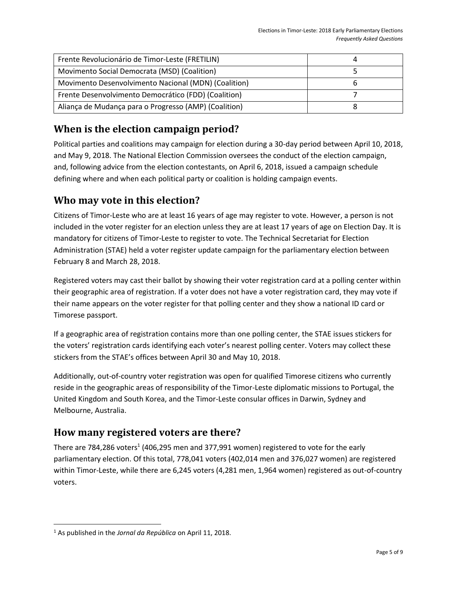| Frente Revolucionário de Timor-Leste (FRETILIN)       |  |
|-------------------------------------------------------|--|
| Movimento Social Democrata (MSD) (Coalition)          |  |
| Movimento Desenvolvimento Nacional (MDN) (Coalition)  |  |
| Frente Desenvolvimento Democrático (FDD) (Coalition)  |  |
| Aliança de Mudança para o Progresso (AMP) (Coalition) |  |

## <span id="page-6-0"></span>**When is the election campaign period?**

Political parties and coalitions may campaign for election during a 30-day period between April 10, 2018, and May 9, 2018. The National Election Commission oversees the conduct of the election campaign, and, following advice from the election contestants, on April 6, 2018, issued a campaign schedule defining where and when each political party or coalition is holding campaign events.

## <span id="page-6-1"></span>**Who may vote in this election?**

Citizens of Timor-Leste who are at least 16 years of age may register to vote. However, a person is not included in the voter register for an election unless they are at least 17 years of age on Election Day. It is mandatory for citizens of Timor-Leste to register to vote. The Technical Secretariat for Election Administration (STAE) held a voter register update campaign for the parliamentary election between February 8 and March 28, 2018.

Registered voters may cast their ballot by showing their voter registration card at a polling center within their geographic area of registration. If a voter does not have a voter registration card, they may vote if their name appears on the voter register for that polling center and they show a national ID card or Timorese passport.

If a geographic area of registration contains more than one polling center, the STAE issues stickers for the voters' registration cards identifying each voter's nearest polling center. Voters may collect these stickers from the STAE's offices between April 30 and May 10, 2018.

Additionally, out-of-country voter registration was open for qualified Timorese citizens who currently reside in the geographic areas of responsibility of the Timor-Leste diplomatic missions to Portugal, the United Kingdom and South Korea, and the Timor-Leste consular offices in Darwin, Sydney and Melbourne, Australia.

## <span id="page-6-2"></span>**How many registered voters are there?**

There are 784,286 voters<sup>1</sup> (406,295 men and 377,991 women) registered to vote for the early parliamentary election. Of this total, 778,041 voters (402,014 men and 376,027 women) are registered within Timor-Leste, while there are 6,245 voters (4,281 men, 1,964 women) registered as out-of-country voters.

 $\overline{\phantom{a}}$ 

<sup>1</sup> As published in the *Jornal da República* on April 11, 2018.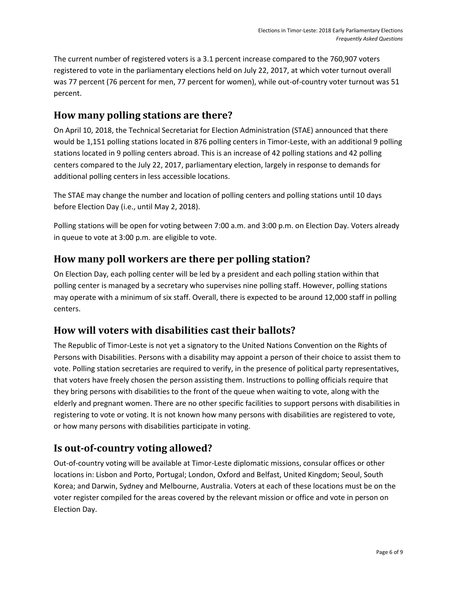The current number of registered voters is a 3.1 percent increase compared to the 760,907 voters registered to vote in the parliamentary elections held on July 22, 2017, at which voter turnout overall was 77 percent (76 percent for men, 77 percent for women), while out-of-country voter turnout was 51 percent.

#### <span id="page-7-0"></span>**How many polling stations are there?**

On April 10, 2018, the Technical Secretariat for Election Administration (STAE) announced that there would be 1,151 polling stations located in 876 polling centers in Timor-Leste, with an additional 9 polling stations located in 9 polling centers abroad. This is an increase of 42 polling stations and 42 polling centers compared to the July 22, 2017, parliamentary election, largely in response to demands for additional polling centers in less accessible locations.

The STAE may change the number and location of polling centers and polling stations until 10 days before Election Day (i.e., until May 2, 2018).

Polling stations will be open for voting between 7:00 a.m. and 3:00 p.m. on Election Day. Voters already in queue to vote at 3:00 p.m. are eligible to vote.

#### <span id="page-7-1"></span>**How many poll workers are there per polling station?**

On Election Day, each polling center will be led by a president and each polling station within that polling center is managed by a secretary who supervises nine polling staff. However, polling stations may operate with a minimum of six staff. Overall, there is expected to be around 12,000 staff in polling centers.

#### <span id="page-7-2"></span>**How will voters with disabilities cast their ballots?**

The Republic of Timor-Leste is not yet a signatory to the United Nations Convention on the Rights of Persons with Disabilities. Persons with a disability may appoint a person of their choice to assist them to vote. Polling station secretaries are required to verify, in the presence of political party representatives, that voters have freely chosen the person assisting them. Instructions to polling officials require that they bring persons with disabilities to the front of the queue when waiting to vote, along with the elderly and pregnant women. There are no other specific facilities to support persons with disabilities in registering to vote or voting. It is not known how many persons with disabilities are registered to vote, or how many persons with disabilities participate in voting.

## <span id="page-7-3"></span>**Is out-of-country voting allowed?**

Out-of-country voting will be available at Timor-Leste diplomatic missions, consular offices or other locations in: Lisbon and Porto, Portugal; London, Oxford and Belfast, United Kingdom; Seoul, South Korea; and Darwin, Sydney and Melbourne, Australia. Voters at each of these locations must be on the voter register compiled for the areas covered by the relevant mission or office and vote in person on Election Day.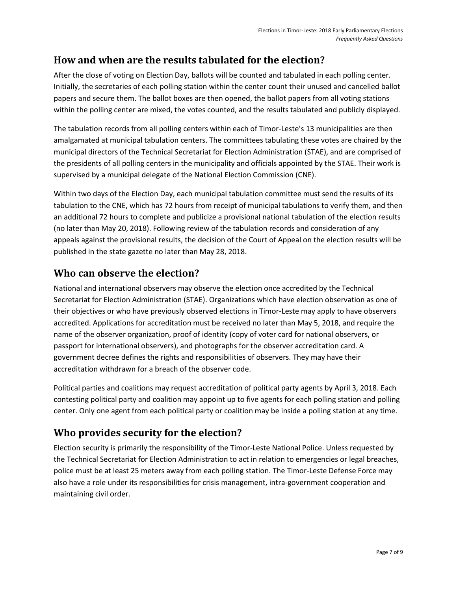## <span id="page-8-0"></span>**How and when are the results tabulated for the election?**

After the close of voting on Election Day, ballots will be counted and tabulated in each polling center. Initially, the secretaries of each polling station within the center count their unused and cancelled ballot papers and secure them. The ballot boxes are then opened, the ballot papers from all voting stations within the polling center are mixed, the votes counted, and the results tabulated and publicly displayed.

The tabulation records from all polling centers within each of Timor-Leste's 13 municipalities are then amalgamated at municipal tabulation centers. The committees tabulating these votes are chaired by the municipal directors of the Technical Secretariat for Election Administration (STAE), and are comprised of the presidents of all polling centers in the municipality and officials appointed by the STAE. Their work is supervised by a municipal delegate of the National Election Commission (CNE).

Within two days of the Election Day, each municipal tabulation committee must send the results of its tabulation to the CNE, which has 72 hours from receipt of municipal tabulations to verify them, and then an additional 72 hours to complete and publicize a provisional national tabulation of the election results (no later than May 20, 2018). Following review of the tabulation records and consideration of any appeals against the provisional results, the decision of the Court of Appeal on the election results will be published in the state gazette no later than May 28, 2018.

#### <span id="page-8-1"></span>**Who can observe the election?**

National and international observers may observe the election once accredited by the Technical Secretariat for Election Administration (STAE). Organizations which have election observation as one of their objectives or who have previously observed elections in Timor-Leste may apply to have observers accredited. Applications for accreditation must be received no later than May 5, 2018, and require the name of the observer organization, proof of identity (copy of voter card for national observers, or passport for international observers), and photographs for the observer accreditation card. A government decree defines the rights and responsibilities of observers. They may have their accreditation withdrawn for a breach of the observer code.

Political parties and coalitions may request accreditation of political party agents by April 3, 2018. Each contesting political party and coalition may appoint up to five agents for each polling station and polling center. Only one agent from each political party or coalition may be inside a polling station at any time.

## <span id="page-8-2"></span>**Who provides security for the election?**

Election security is primarily the responsibility of the Timor-Leste National Police. Unless requested by the Technical Secretariat for Election Administration to act in relation to emergencies or legal breaches, police must be at least 25 meters away from each polling station. The Timor-Leste Defense Force may also have a role under its responsibilities for crisis management, intra-government cooperation and maintaining civil order.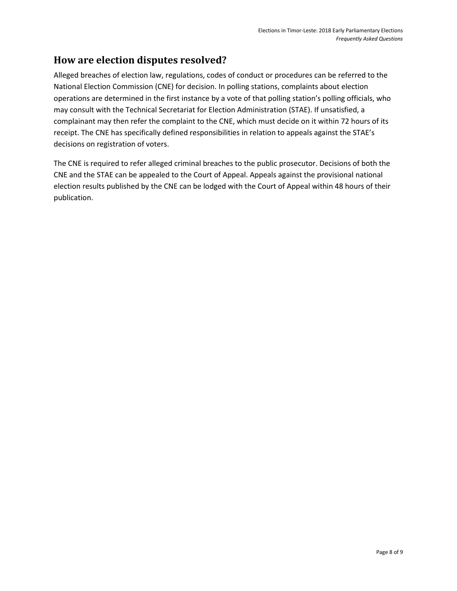## <span id="page-9-0"></span>**How are election disputes resolved?**

Alleged breaches of election law, regulations, codes of conduct or procedures can be referred to the National Election Commission (CNE) for decision. In polling stations, complaints about election operations are determined in the first instance by a vote of that polling station's polling officials, who may consult with the Technical Secretariat for Election Administration (STAE). If unsatisfied, a complainant may then refer the complaint to the CNE, which must decide on it within 72 hours of its receipt. The CNE has specifically defined responsibilities in relation to appeals against the STAE's decisions on registration of voters.

The CNE is required to refer alleged criminal breaches to the public prosecutor. Decisions of both the CNE and the STAE can be appealed to the Court of Appeal. Appeals against the provisional national election results published by the CNE can be lodged with the Court of Appeal within 48 hours of their publication.